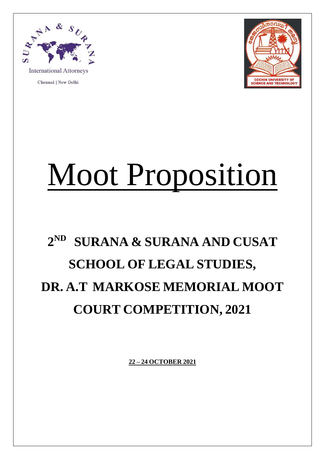

**International Attorneys** 

Chennai | New Delhi



## Moot Proposition

## **2 ND SURANA & SURANA AND CUSAT SCHOOL OF LEGAL STUDIES, DR. A.T MARKOSE MEMORIAL MOOT COURT COMPETITION, 2021**

**22 – 24 OCTOBER 2021**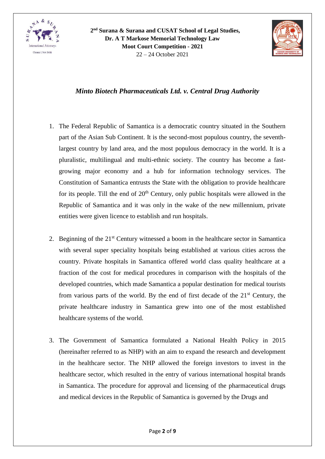



## *Minto Biotech Pharmaceuticals Ltd. v. Central Drug Authority*

- 1. The Federal Republic of Samantica is a democratic country situated in the Southern part of the Asian Sub Continent. It is the second-most populous country, the seventhlargest country by land area, and the most populous democracy in the world. It is a pluralistic, multilingual and multi-ethnic society. The country has become a fastgrowing major economy and a hub for information technology services. The Constitution of Samantica entrusts the State with the obligation to provide healthcare for its people. Till the end of  $20<sup>th</sup>$  Century, only public hospitals were allowed in the Republic of Samantica and it was only in the wake of the new millennium, private entities were given licence to establish and run hospitals.
- 2. Beginning of the  $21<sup>st</sup>$  Century witnessed a boom in the healthcare sector in Samantica with several super speciality hospitals being established at various cities across the country. Private hospitals in Samantica offered world class quality healthcare at a fraction of the cost for medical procedures in comparison with the hospitals of the developed countries, which made Samantica a popular destination for medical tourists from various parts of the world. By the end of first decade of the  $21<sup>st</sup>$  Century, the private healthcare industry in Samantica grew into one of the most established healthcare systems of the world.
- 3. The Government of Samantica formulated a National Health Policy in 2015 (hereinafter referred to as NHP) with an aim to expand the research and development in the healthcare sector. The NHP allowed the foreign investors to invest in the healthcare sector, which resulted in the entry of various international hospital brands in Samantica. The procedure for approval and licensing of the pharmaceutical drugs and medical devices in the Republic of Samantica is governed by the Drugs and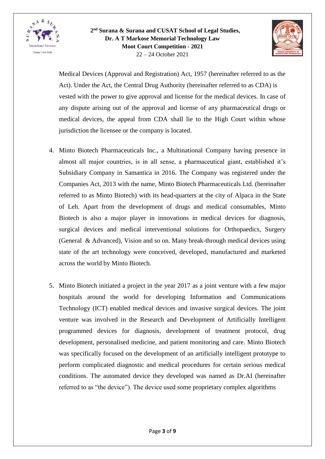



Medical Devices (Approval and Registration) Act, 1957 (hereinafter referred to as the Act). Under the Act, the Central Drug Authority (hereinafter referred to as CDA) is vested with the power to give approval and license for the medical devices. In case of any dispute arising out of the approval and license of any pharmaceutical drugs or medical devices, the appeal from CDA shall lie to the High Court within whose jurisdiction the licensee or the company is located.

- 4. Minto Biotech Pharmaceuticals Inc., a Multinational Company having presence in almost all major countries, is in all sense, a pharmaceutical giant, established it's Subsidiary Company in Samantica in 2016. The Company was registered under the Companies Act, 2013 with the name, Minto Biotech Pharmaceuticals Ltd. (hereinafter referred to as Minto Biotech) with its head-quarters at the city of Alpaca in the State of Leh. Apart from the development of drugs and medical consumables, Minto Biotech is also a major player in innovations in medical devices for diagnosis, surgical devices and medical interventional solutions for Orthopaedics, Surgery (General & Advanced), Vision and so on. Many break-through medical devices using state of the art technology were conceived, developed, manufactured and marketed across the world by Minto Biotech.
- 5. Minto Biotech initiated a project in the year 2017 as a joint venture with a few major hospitals around the world for developing Information and Communications Technology (ICT) enabled medical devices and invasive surgical devices. The joint venture was involved in the Research and Development of Artificially Intelligent programmed devices for diagnosis, development of treatment protocol, drug development, personalised medicine, and patient monitoring and care. Minto Biotech was specifically focused on the development of an artificially intelligent prototype to perform complicated diagnostic and medical procedures for certain serious medical conditions. The automated device they developed was named as Dr.AI (hereinafter referred to as "the device"). The device used some proprietary complex algorithms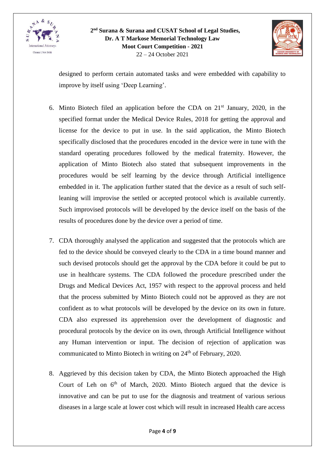



designed to perform certain automated tasks and were embedded with capability to improve by itself using 'Deep Learning'.

- 6. Minto Biotech filed an application before the CDA on  $21<sup>st</sup>$  January, 2020, in the specified format under the Medical Device Rules, 2018 for getting the approval and license for the device to put in use. In the said application, the Minto Biotech specifically disclosed that the procedures encoded in the device were in tune with the standard operating procedures followed by the medical fraternity. However, the application of Minto Biotech also stated that subsequent improvements in the procedures would be self learning by the device through Artificial intelligence embedded in it. The application further stated that the device as a result of such selfleaning will improvise the settled or accepted protocol which is available currently. Such improvised protocols will be developed by the device itself on the basis of the results of procedures done by the device over a period of time.
- 7. CDA thoroughly analysed the application and suggested that the protocols which are fed to the device should be conveyed clearly to the CDA in a time bound manner and such devised protocols should get the approval by the CDA before it could be put to use in healthcare systems. The CDA followed the procedure prescribed under the Drugs and Medical Devices Act, 1957 with respect to the approval process and held that the process submitted by Minto Biotech could not be approved as they are not confident as to what protocols will be developed by the device on its own in future. CDA also expressed its apprehension over the development of diagnostic and procedural protocols by the device on its own, through Artificial Intelligence without any Human intervention or input. The decision of rejection of application was communicated to Minto Biotech in writing on 24<sup>th</sup> of February, 2020.
- 8. Aggrieved by this decision taken by CDA, the Minto Biotech approached the High Court of Leh on  $6<sup>th</sup>$  of March, 2020. Minto Biotech argued that the device is innovative and can be put to use for the diagnosis and treatment of various serious diseases in a large scale at lower cost which will result in increased Health care access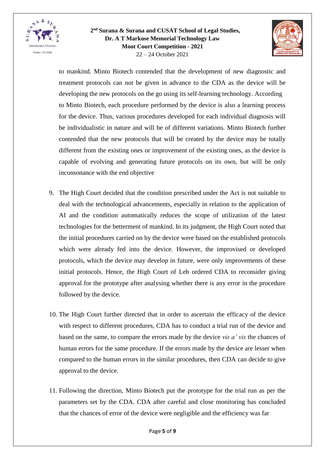



to mankind. Minto Biotech contended that the development of new diagnostic and treatment protocols can not be given in advance to the CDA as the device will be developing the new protocols on the go using its self-learning technology. According to Minto Biotech, each procedure performed by the device is also a learning process for the device. Thus, various procedures developed for each individual diagnosis will be individualistic in nature and will be of different variations. Minto Biotech further contended that the new protocols that will be created by the device may be totally different from the existing ones or improvement of the existing ones, as the device is capable of evolving and generating future protocols on its own, but will be only inconsonance with the end objective

- 9. The High Court decided that the condition prescribed under the Act is not suitable to deal with the technological advancements, especially in relation to the application of AI and the condition automatically reduces the scope of utilization of the latest technologies for the betterment of mankind. In its judgment, the High Court noted that the initial procedures carried on by the device were based on the established protocols which were already fed into the device. However, the improvised or developed protocols, which the device may develop in future, were only improvements of these initial protocols. Hence, the High Court of Leh ordered CDA to reconsider giving approval for the prototype after analysing whether there is any error in the procedure followed by the device.
- 10. The High Court further directed that in order to ascertain the efficacy of the device with respect to different procedures, CDA has to conduct a trial run of the device and based on the same, to compare the errors made by the device *vis a' vis* the chances of human errors for the same procedure. If the errors made by the device are lesser when compared to the human errors in the similar procedures, then CDA can decide to give approval to the device.
- 11. Following the direction, Minto Biotech put the prototype for the trial run as per the parameters set by the CDA. CDA after careful and close monitoring has concluded that the chances of error of the device were negligible and the efficiency was far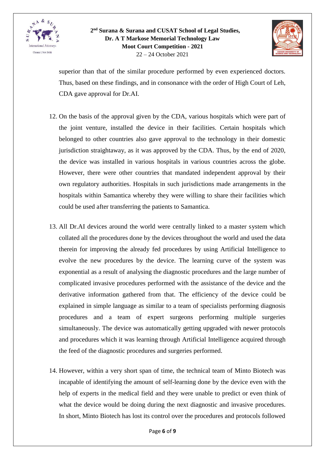



superior than that of the similar procedure performed by even experienced doctors. Thus, based on these findings, and in consonance with the order of High Court of Leh, CDA gave approval for Dr.AI.

- 12. On the basis of the approval given by the CDA, various hospitals which were part of the joint venture, installed the device in their facilities. Certain hospitals which belonged to other countries also gave approval to the technology in their domestic jurisdiction straightaway, as it was approved by the CDA. Thus, by the end of 2020, the device was installed in various hospitals in various countries across the globe. However, there were other countries that mandated independent approval by their own regulatory authorities. Hospitals in such jurisdictions made arrangements in the hospitals within Samantica whereby they were willing to share their facilities which could be used after transferring the patients to Samantica.
- 13. All Dr.AI devices around the world were centrally linked to a master system which collated all the procedures done by the devices throughout the world and used the data therein for improving the already fed procedures by using Artificial Intelligence to evolve the new procedures by the device. The learning curve of the system was exponential as a result of analysing the diagnostic procedures and the large number of complicated invasive procedures performed with the assistance of the device and the derivative information gathered from that. The efficiency of the device could be explained in simple language as similar to a team of specialists performing diagnosis procedures and a team of expert surgeons performing multiple surgeries simultaneously. The device was automatically getting upgraded with newer protocols and procedures which it was learning through Artificial Intelligence acquired through the feed of the diagnostic procedures and surgeries performed.
- 14. However, within a very short span of time, the technical team of Minto Biotech was incapable of identifying the amount of self-learning done by the device even with the help of experts in the medical field and they were unable to predict or even think of what the device would be doing during the next diagnostic and invasive procedures. In short, Minto Biotech has lost its control over the procedures and protocols followed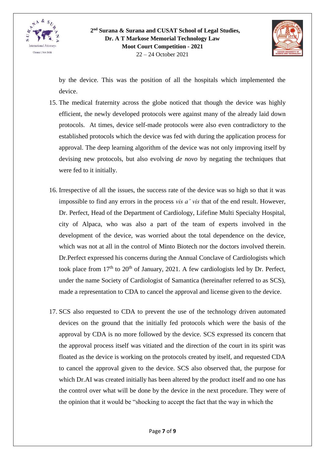



by the device. This was the position of all the hospitals which implemented the device.

- 15. The medical fraternity across the globe noticed that though the device was highly efficient, the newly developed protocols were against many of the already laid down protocols. At times, device self-made protocols were also even contradictory to the established protocols which the device was fed with during the application process for approval. The deep learning algorithm of the device was not only improving itself by devising new protocols, but also evolving *de novo* by negating the techniques that were fed to it initially.
- 16. Irrespective of all the issues, the success rate of the device was so high so that it was impossible to find any errors in the process *vis a' vis* that of the end result. However, Dr. Perfect, Head of the Department of Cardiology, Lifefine Multi Specialty Hospital, city of Alpaca, who was also a part of the team of experts involved in the development of the device, was worried about the total dependence on the device, which was not at all in the control of Minto Biotech nor the doctors involved therein. Dr.Perfect expressed his concerns during the Annual Conclave of Cardiologists which took place from  $17<sup>th</sup>$  to  $20<sup>th</sup>$  of January, 2021. A few cardiologists led by Dr. Perfect, under the name Society of Cardiologist of Samantica (hereinafter referred to as SCS), made a representation to CDA to cancel the approval and license given to the device.
- 17. SCS also requested to CDA to prevent the use of the technology driven automated devices on the ground that the initially fed protocols which were the basis of the approval by CDA is no more followed by the device. SCS expressed its concern that the approval process itself was vitiated and the direction of the court in its spirit was floated as the device is working on the protocols created by itself, and requested CDA to cancel the approval given to the device. SCS also observed that, the purpose for which Dr.AI was created initially has been altered by the product itself and no one has the control over what will be done by the device in the next procedure. They were of the opinion that it would be "shocking to accept the fact that the way in which the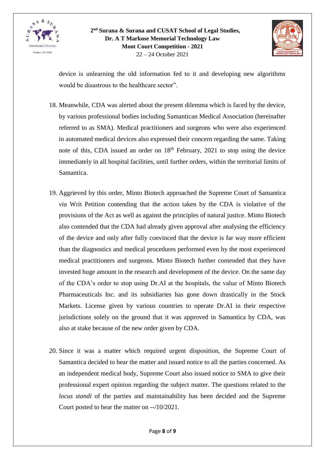



device is unlearning the old information fed to it and developing new algorithms would be disastrous to the healthcare sector".

- 18. Meanwhile, CDA was alerted about the present dilemma which is faced by the device, by various professional bodies including Samantican Medical Association (hereinafter referred to as SMA). Medical practitioners and surgeons who were also experienced in automated medical devices also expressed their concern regarding the same. Taking note of this, CDA issued an order on  $18<sup>th</sup>$  February, 2021 to stop using the device immediately in all hospital facilities, until further orders, within the territorial limits of Samantica.
- 19. Aggrieved by this order, Minto Biotech approached the Supreme Court of Samantica *via* Writ Petition contending that the action taken by the CDA is violative of the provisions of the Act as well as against the principles of natural justice. Minto Biotech also contended that the CDA had already given approval after analysing the efficiency of the device and only after fully convinced that the device is far way more efficient than the diagnostics and medical procedures performed even by the most experienced medical practitioners and surgeons. Minto Biotech further contended that they have invested huge amount in the research and development of the device. On the same day of the CDA's order to stop using Dr.AI at the hospitals, the value of Minto Biotech Pharmaceuticals Inc. and its subsidiaries has gone down drastically in the Stock Markets. License given by various countries to operate Dr.AI in their respective jurisdictions solely on the ground that it was approved in Samantica by CDA, was also at stake because of the new order given by CDA.
- 20. Since it was a matter which required urgent disposition, the Supreme Court of Samantica decided to hear the matter and issued notice to all the parties concerned. As an independent medical body, Supreme Court also issued notice to SMA to give their professional expert opinion regarding the subject matter. The questions related to the *locus standi* of the parties and maintainability has been decided and the Supreme Court posted to hear the matter on --/10/2021.